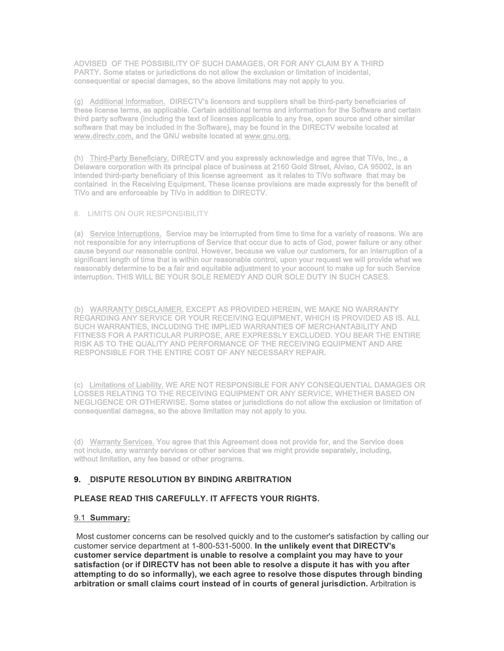ADVISED OF THE POSSIBILITY OF SUCH DAMAGES, OR FOR ANY CLAIM BY A THIRD PARTY. Some states or jurisdictions do not allow the exclusion or limitation of incidental, consequential or special damages, so the above limitations may not apply to you.

 (g) Additional Information. DIRECTV's licensors and suppliers shall be third-party beneficiaries of these license terms, as applicable. Certain additional terms and information for the Software and certain third party software (including the text of licenses applicable to any free, open source and other similar software that may be included in the Software), may be found in the DIRECTV website located at www.directv.com, and the GNU website located at www.gnu.org.

(h) Third-Party Beneficiary. DIRECTV and you expressly acknowledge and agree that TiVo, Inc., a Delaware corporation with its principal place of business at 2160 Gold Street, Alviso, CA 95002, is an intended third-party beneficiary of this license agreement as it relates to TiVo software that may be contained in the Receiving Equipment. These license provisions are made expressly for the benefit of TiVo and are enforceable by TiVo in addition to DIRECTV.

# 8. LIMITS ON OUR RESPONSIBILITY

(a) Service Interruptions. Service may be interrupted from time to time for a variety of reasons. We are not responsible for any interruptions of Service that occur due to acts of God, power failure or any other cause beyond our reasonable control. However, because we value our customers, for an interruption of a significant length of time that is within our reasonable control, upon your request we will provide what we l interruption. THIS WILL BE YOUR SOLE REMEDY AND OUR SOLE DUTY IN SUCH CASES. reasonably determine to be a fair and equitable adjustment to your account to make up for such Service

 (b) WARRANTY DISCLAIMER. EXCEPT AS PROVIDED HEREIN, WE MAKE NO WARRANTY REGARDING ANY SERVICE OR YOUR RECEIVING EQUIPMENT, WHICH IS PROVIDED AS IS. ALL FITNESS FOR A PARTICULAR PURPOSE, ARE EXPRESSLY EXCLUDED. YOU BEAR THE ENTIRE<br>RISK 19 TO THE CULLUM (AND REPEARLINGE OF THE REALITY (US FOURNELLY AND ARE ļ RESPONSIBLE FOR THE ENTIRE COST OF ANY NECESSARY REPAIR. SUCH WARRANTIES, INCLUDING THE IMPLIED WARRANTIES OF MERCHANTABILITY AND RISK AS TO THE QUALITY AND PERFORMANCE OF THE RECEIVING EQUIPMENT AND ARE

 (c) Limitations of Liability. WE ARE NOT RESPONSIBLE FOR ANY CONSEQUENTIAL DAMAGES OR LOSSES RELATING TO THE RECEIVING EQUIPMENT OR ANY SERVICE, WHETHER BASED ON NEGLIGENCE OR OTHERWISE. Some states or jurisdictions do not allow the exclusion or limitation of consequential damages, so the above limitation may not apply to you.

 (d) Warranty Services. You agree that this Agreement does not provide for, and the Service does not include, any warranty services or other services that we might provide separately, including, without limitation, any fee based or other programs.

## **9. DISPUTE RESOLUTION BY BINDING ARBITRATION**

### **PLEASE READ THIS CAREFULLY. IT AFFECTS YOUR RIGHTS.**

#### 9.1 **Summary:**

 Most customer concerns can be resolved quickly and to the customer's satisfaction by calling our customer service department at 1-800-531-5000. **In the unlikely event that DIRECTV's customer service department is unable to resolve a complaint you may have to your satisfaction (or if DIRECTV has not been able to resolve a dispute it has with you after attempting to do so informally), we each agree to resolve those disputes through binding arbitration or small claims court instead of in courts of general jurisdiction.** Arbitration is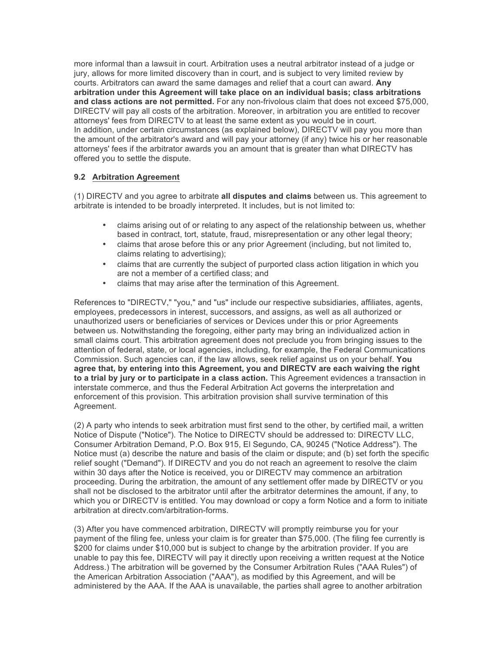more informal than a lawsuit in court. Arbitration uses a neutral arbitrator instead of a judge or jury, allows for more limited discovery than in court, and is subject to very limited review by courts. Arbitrators can award the same damages and relief that a court can award. **Any arbitration under this Agreement will take place on an individual basis; class arbitrations and class actions are not permitted.** For any non-frivolous claim that does not exceed \$75,000, DIRECTV will pay all costs of the arbitration. Moreover, in arbitration you are entitled to recover attorneys' fees from DIRECTV to at least the same extent as you would be in court. the amount of the arbitrator's award and will pay your attorney (if any) twice his or her reasonable attorneys' fees if the arbitrator awards you an amount that is greater than what DIRECTV has In addition, under certain circumstances (as explained below), DIRECTV will pay you more than offered you to settle the dispute.

## **9.2 Arbitration Agreement**

 (1) DIRECTV and you agree to arbitrate **all disputes and claims** between us. This agreement to arbitrate is intended to be broadly interpreted. It includes, but is not limited to:

- • claims arising out of or relating to any aspect of the relationship between us, whether based in contract, tort, statute, fraud, misrepresentation or any other legal theory;
- • claims that arose before this or any prior Agreement (including, but not limited to, claims relating to advertising);
- • claims that are currently the subject of purported class action litigation in which you are not a member of a certified class; and
- claims that may arise after the termination of this Agreement.

 References to "DIRECTV," "you," and "us" include our respective subsidiaries, affiliates, agents, employees, predecessors in interest, successors, and assigns, as well as all authorized or unauthorized users or beneficiaries of services or Devices under this or prior Agreements between us. Notwithstanding the foregoing, either party may bring an individualized action in small claims court. This arbitration agreement does not preclude you from bringing issues to the attention of federal, state, or local agencies, including, for example, the Federal Communications Commission. Such agencies can, if the law allows, seek relief against us on your behalf. **You agree that, by entering into this Agreement, you and DIRECTV are each waiving the right to a trial by jury or to participate in a class action.** This Agreement evidences a transaction in interstate commerce, and thus the Federal Arbitration Act governs the interpretation and enforcement of this provision. This arbitration provision shall survive termination of this Agreement.

 (2) A party who intends to seek arbitration must first send to the other, by certified mail, a written Notice of Dispute ("Notice"). The Notice to DIRECTV should be addressed to: DIRECTV LLC, Consumer Arbitration Demand, P.O. Box 915, El Segundo, CA, 90245 ("Notice Address"). The Notice must (a) describe the nature and basis of the claim or dispute; and (b) set forth the specific relief sought ("Demand"). If DIRECTV and you do not reach an agreement to resolve the claim within 30 days after the Notice is received, you or DIRECTV may commence an arbitration proceeding. During the arbitration, the amount of any settlement offer made by DIRECTV or you shall not be disclosed to the arbitrator until after the arbitrator determines the amount, if any, to which you or DIRECTV is entitled. You may download or copy a form Notice and a form to initiate arbitration at directv.com/arbitration-forms.

arbitration at directv.com/arbitration-forms.<br>(3) After you have commenced arbitration, DIRECTV will promptly reimburse you for your payment of the filing fee, unless your claim is for greater than \$75,000. (The filing fee currently is \$200 for claims under \$10,000 but is subject to change by the arbitration provider. If you are unable to pay this fee, DIRECTV will pay it directly upon receiving a written request at the Notice Address.) The arbitration will be governed by the Consumer Arbitration Rules ("AAA Rules") of administered by the AAA. If the AAA is unavailable, the parties shall agree to another arbitration the American Arbitration Association ("AAA"), as modified by this Agreement, and will be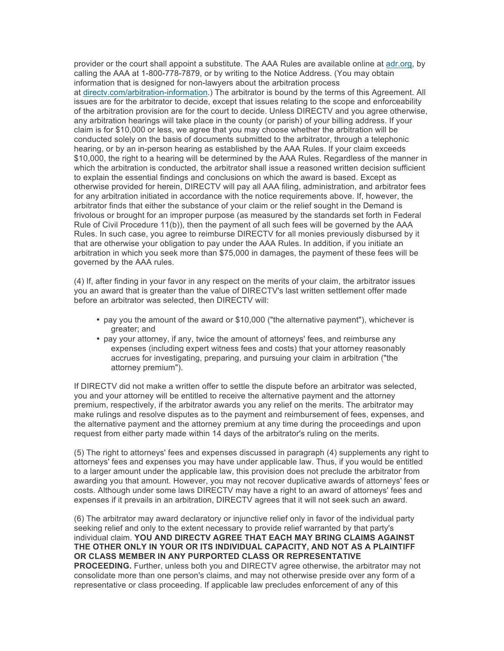provider or the court shall appoint a substitute. The AAA Rules are available online at adr.org, by calling the AAA at 1-800-778-7879, or by writing to the Notice Address. (You may obtain information that is designed for non-lawyers about the arbitration process at directv.com/arbitration-information.) The arbitrator is bound by the terms of this Agreement. All issues are for the arbitrator to decide, except that issues relating to the scope and enforceability of the arbitration provision are for the court to decide. Unless DIRECTV and you agree otherwise, any arbitration hearings will take place in the county (or parish) of your billing address. If your claim is for \$10,000 or less, we agree that you may choose whether the arbitration will be conducted solely on the basis of documents submitted to the arbitrator, through a telephonic hearing, or by an in-person hearing as established by the AAA Rules. If your claim exceeds \$10,000, the right to a hearing will be determined by the AAA Rules. Regardless of the manner in which the arbitration is conducted, the arbitrator shall issue a reasoned written decision sufficient to explain the essential findings and conclusions on which the award is based. Except as otherwise provided for herein, DIRECTV will pay all AAA filing, administration, and arbitrator fees arbitrator finds that either the substance of your claim or the relief sought in the Demand is Rule of Civil Procedure 11(b)), then the payment of all such fees will be governed by the AAA Rules. In such case, you agree to reimburse DIRECTV for all monies previously disbursed by it arbitration in which you seek more than \$75,000 in damages, the payment of these fees will be governed by the AAA rules. for any arbitration initiated in accordance with the notice requirements above. If, however, the frivolous or brought for an improper purpose (as measured by the standards set forth in Federal that are otherwise your obligation to pay under the AAA Rules. In addition, if you initiate an

 (4) If, after finding in your favor in any respect on the merits of your claim, the arbitrator issues you an award that is greater than the value of DIRECTV's last written settlement offer made before an arbitrator was selected, then DIRECTV will:

- pay you the amount of the award or \$10,000 ("the alternative payment"), whichever is greater; and
- pay your attorney, if any, twice the amount of attorneys' fees, and reimburse any expenses (including expert witness fees and costs) that your attorney reasonably accrues for investigating, preparing, and pursuing your claim in arbitration ("the attorney premium").

 you and your attorney will be entitled to receive the alternative payment and the attorney premium, respectively, if the arbitrator awards you any relief on the merits. The arbitrator may make rulings and resolve disputes as to the payment and reimbursement of fees, expenses, and request from either party made within 14 days of the arbitrator's ruling on the merits. If DIRECTV did not make a written offer to settle the dispute before an arbitrator was selected, the alternative payment and the attorney premium at any time during the proceedings and upon

 (5) The right to attorneys' fees and expenses discussed in paragraph (4) supplements any right to attorneys' fees and expenses you may have under applicable law. Thus, if you would be entitled awarding you that amount. However, you may not recover duplicative awards of attorneys' fees or costs. Although under some laws DIRECTV may have a right to an award of attorneys' fees and expenses if it prevails in an arbitration, DIRECTV agrees that it will not seek such an award. to a larger amount under the applicable law, this provision does not preclude the arbitrator from

 (6) The arbitrator may award declaratory or injunctive relief only in favor of the individual party seeking relief and only to the extent necessary to provide relief warranted by that party's  individual claim. **YOU AND DIRECTV AGREE THAT EACH MAY BRING CLAIMS AGAINST THE OTHER ONLY IN YOUR OR ITS INDIVIDUAL CAPACITY, AND NOT AS A PLAINTIFF OR CLASS MEMBER IN ANY PURPORTED CLASS OR REPRESENTATIVE PROCEEDING.** Further, unless both you and DIRECTV agree otherwise, the arbitrator may not consolidate more than one person's claims, and may not otherwise preside over any form of a representative or class proceeding. If applicable law precludes enforcement of any of this